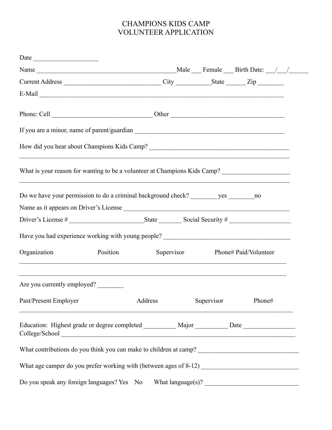## CHAMPIONS KIDS CAMP VOLUNTEER APPLICATION

| Date                                                                                                 |          |         |                                  |        |  |
|------------------------------------------------------------------------------------------------------|----------|---------|----------------------------------|--------|--|
|                                                                                                      |          |         |                                  |        |  |
| Current Address __________________________________City ____________State _______Zip ________________ |          |         |                                  |        |  |
|                                                                                                      |          |         |                                  |        |  |
|                                                                                                      |          |         |                                  |        |  |
|                                                                                                      |          |         |                                  |        |  |
|                                                                                                      |          |         |                                  |        |  |
| What is your reason for wanting to be a volunteer at Champions Kids Camp?                            |          |         |                                  |        |  |
| Do we have your permission to do a criminal background check? ____________ yes __________ no         |          |         |                                  |        |  |
| Name as it appears on Driver's License                                                               |          |         |                                  |        |  |
|                                                                                                      |          |         |                                  |        |  |
| Have you had experience working with young people? ______________________________                    |          |         |                                  |        |  |
| Organization<br>,我们也不能在这里的人,我们也不能在这里的人,我们也不能在这里的人,我们也不能在这里的人,我们也不能在这里的人,我们也不能在这里的人,我们也不能在这里的人,我们也    | Position |         | Supervisor Phone# Paid/Volunteer |        |  |
| Are you currently employed?                                                                          |          |         |                                  |        |  |
| Past/Present Employer                                                                                |          | Address | Supervisor                       | Phone# |  |
| Education: Highest grade or degree completed __________ Major _________ Date _______________________ |          |         |                                  |        |  |
|                                                                                                      |          |         |                                  |        |  |
|                                                                                                      |          |         |                                  |        |  |
| Do you speak any foreign languages? Yes No What language(s)?                                         |          |         |                                  |        |  |